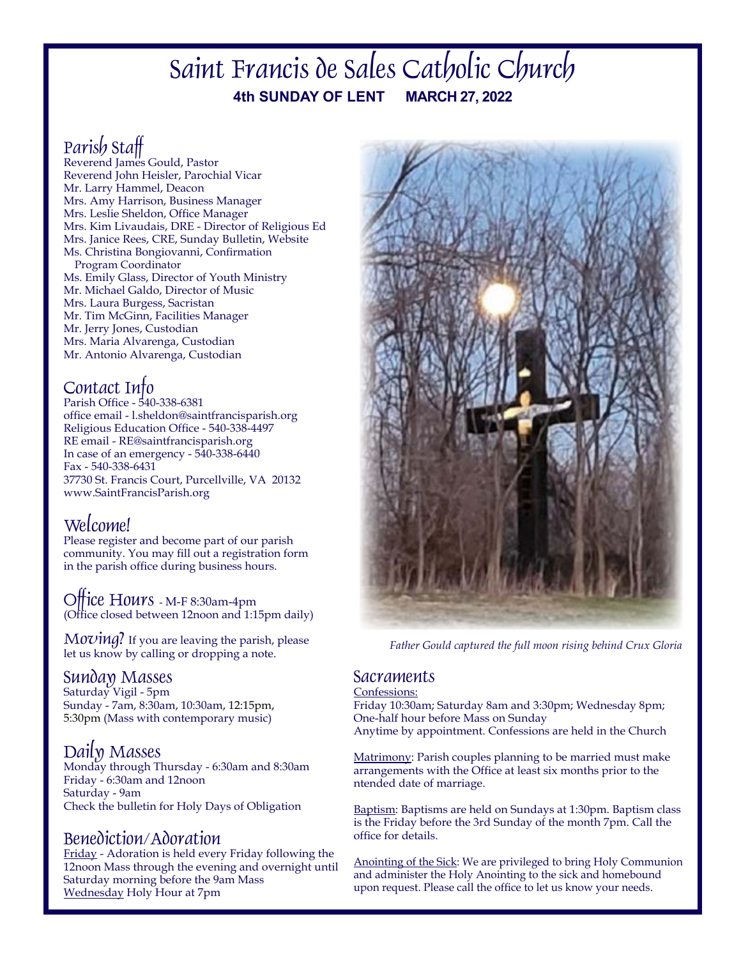# **4th SUNDAY OF LENT MARCH 27, 2022** Saint Francis de Sales Catholic Church

# Parish Staff

Reverend James Gould, Pastor Reverend John Heisler, Parochial Vicar Mr. Larry Hammel, Deacon Mrs. Amy Harrison, Business Manager Mrs. Leslie Sheldon, Office Manager Mrs. Kim Livaudais, DRE - Director of Religious Ed Mrs. Janice Rees, CRE, Sunday Bulletin, Website Ms. Christina Bongiovanni, Confirmation Program Coordinator Ms. Emily Glass, Director of Youth Ministry Mr. Michael Galdo, Director of Music Mrs. Laura Burgess, Sacristan Mr. Tim McGinn, Facilities Manager Mr. Jerry Jones, Custodian Mrs. Maria Alvarenga, Custodian Mr. Antonio Alvarenga, Custodian

# Contact Info

Parish Office - 540-338-6381 office email - l.sheldon@saintfrancisparish.org Religious Education Office - 540-338-4497 RE email - RE@saintfrancisparish.org In case of an emergency -  $540-338-6440$ Fax - 540-338-6431 37730 St. Francis Court, Purcellville, VA 20132 www.SaintFrancisParish.org

# Welcome!

Please register and become part of our parish community. You may fill out a registration form in the parish office during business hours.

Office Hours - M-F 8:30am-4pm (Office closed between 12noon and 1:15pm daily)

 $M$ *o* $\nu$ *ing?* If you are leaving the parish, please let us know by calling or dropping a note.

Sunday Masses Saturday Vigil - 5pm Sunday - 7am, 8:30am, 10:30am, 12:15pm, 5:30pm (Mass with contemporary music)

Daily Masses<br>Monday through Thursday - 6:30am and 8:30am Friday - 6:30am and 12noon Saturday - 9am Check the bulletin for Holy Days of Obligation

# Benediction/Adoration

Friday - Adoration is held every Friday following the 12noon Mass through the evening and overnight until Saturday morning before the 9am Mass Wednesday Holy Hour at 7pm



*Father Gould captured the full moon rising behind Crux Gloria*

## **Sacraments**

Confessions: Friday 10:30am; Saturday 8am and 3:30pm; Wednesday 8pm; One-half hour before Mass on Sunday Anytime by appointment. Confessions are held in the Church

Matrimony: Parish couples planning to be married must make arrangements with the Office at least six months prior to the ntended date of marriage.

Baptism: Baptisms are held on Sundays at 1:30pm. Baptism class is the Friday before the 3rd Sunday of the month 7pm. Call the office for details.

Anointing of the Sick: We are privileged to bring Holy Communion and administer the Holy Anointing to the sick and homebound upon request. Please call the office to let us know your needs.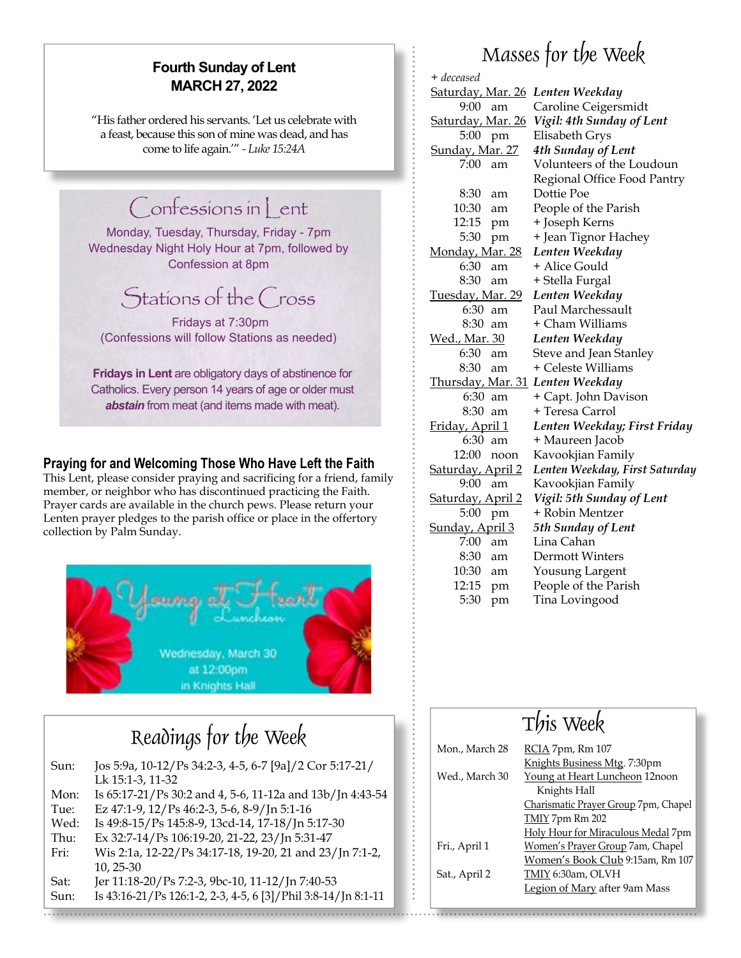## **Fourth Sunday of Lent MARCH 27, 2022**

"His father ordered his servants. 'Let us celebrate with a feast, because this son of mine was dead, and has come to life again.'" *- Luke 15:24A*

# Confessions in Lent

Monday, Tuesday, Thursday, Friday - 7pm Wednesday Night Holy Hour at 7pm, followed by Confession at 8pm

# Stations of the Cross

 Fridays at 7:30pm (Confessions will follow Stations as needed)

**Fridays in Lent** are obligatory days of abstinence for Catholics. Every person 14 years of age or older must *abstain* from meat (and items made with meat).

### **Praying for and Welcoming Those Who Have Left the Faith**

This Lent, please consider praying and sacrificing for a friend, family member, or neighbor who has discontinued practicing the Faith. Prayer cards are available in the church pews. Please return your Lenten prayer pledges to the parish office or place in the offertory collection by Palm Sunday.



| Sun: | Jos 5:9a, 10-12/Ps 34:2-3, 4-5, 6-7 [9a]/2 Cor 5:17-21/       |
|------|---------------------------------------------------------------|
|      | Lk 15:1-3, 11-32                                              |
| Mon: | Is 65:17-21/Ps 30:2 and 4, 5-6, 11-12a and 13b/Jn 4:43-54     |
| Tue: | Ez 47:1-9, 12/Ps 46:2-3, 5-6, 8-9/Jn 5:1-16                   |
| Wed: | Is 49:8-15/Ps 145:8-9, 13cd-14, 17-18/Jn 5:17-30              |
| Thu: | Ex 32:7-14/Ps 106:19-20, 21-22, 23/Jn 5:31-47                 |
| Fri: | Wis 2:1a, 12-22/Ps 34:17-18, 19-20, 21 and 23/Jn 7:1-2,       |
|      | $10, 25 - 30$                                                 |
| Sat: | Jer 11:18-20/Ps 7:2-3, 9bc-10, 11-12/Jn 7:40-53               |
| Sun: | Is 43:16-21/Ps 126:1-2, 2-3, 4-5, 6 [3]/Phil 3:8-14/Jn 8:1-11 |

# Masses for the Week

| + deceased               |                                |
|--------------------------|--------------------------------|
| <u>Saturday, Mar. 26</u> | Lenten Weekday                 |
| 9:00<br>am               | Caroline Ceigersmidt           |
| <u>Saturday, Mar. 26</u> | Vigil: 4th Sunday of Lent      |
| 5:00<br>pm               | Elisabeth Grys                 |
| <u>Sunday, Mar. 27</u>   | 4th Sunday of Lent             |
| 7:00<br>am               | Volunteers of the Loudoun      |
|                          | Regional Office Food Pantry    |
| 8:30<br>am               | Dottie Poe                     |
| 10:30<br>am              | People of the Parish           |
| 12:15<br>pm              | + Joseph Kerns                 |
| 5:30<br>pm               | + Jean Tignor Hachey           |
| Monday, Mar. 28          | Lenten Weekday                 |
| 6:30<br>am               | + Alice Gould                  |
| 8:30<br>am               | + Stella Furgal                |
| <u>Tuesday, Mar. 29</u>  | Lenten Weekday                 |
| 6:30<br>am               | Paul Marchessault              |
| 8:30<br>am               | + Cham Williams                |
| <u> Wed., Mar. 30</u>    | Lenten Weekday                 |
| 6:30<br>am               | Steve and Jean Stanley         |
| 8:30<br>am               | + Celeste Williams             |
| <u>Thursday, Mar. 31</u> | Lenten Weekday                 |
| 6:30<br>am               | + Capt. John Davison           |
| 8:30<br>am               | + Teresa Carrol                |
| Friday, April 1          | Lenten Weekday; First Friday   |
| 6:30<br>am               | + Maureen Jacob                |
| 12:00<br>noon            | Kavookjian Family              |
| Saturday, April 2        | Lenten Weekday, First Saturday |
| 9:00<br>am               | Kavookjian Family              |
| <u>Saturday, April 2</u> | Vigil: 5th Sunday of Lent      |
| 5:00<br>pm               | + Robin Mentzer                |
| Sunday, April 3          | 5th Sunday of Lent             |
| 7:00<br>am               | Lina Cahan                     |
| 8:30<br>am               | <b>Dermott Winters</b>         |
| 10:30<br>am              | Yousung Largent                |
| 12:15<br>pm              | People of the Parish           |
| 5:30<br>pm               | Tina Lovingood                 |

| Readings for the Week                                  |                | This Week                            |
|--------------------------------------------------------|----------------|--------------------------------------|
|                                                        | Mon., March 28 | RCIA 7pm, Rm 107                     |
| a, 10-12/Ps 34:2-3, 4-5, 6-7 [9a]/2 Cor 5:17-21/       |                | Knights Business Mtg. 7:30pm         |
| 1-3, 11-32                                             | Wed., March 30 | Young at Heart Luncheon 12noon       |
| 7-21/Ps 30:2 and 4, 5-6, 11-12a and 13b/Jn 4:43-54     |                | Knights Hall                         |
| 1-9, 12/Ps 46:2-3, 5-6, 8-9/Jn 5:1-16                  |                | Charismatic Prayer Group 7pm, Chapel |
| -15/Ps 145:8-9, 13cd-14, 17-18/Jn 5:17-30              |                | TMIY 7pm Rm 202                      |
| 7-14/Ps 106:19-20, 21-22, 23/Jn 5:31-47                |                | Holy Hour for Miraculous Medal 7pm   |
| 1a, 12-22/Ps 34:17-18, 19-20, 21 and 23/Jn 7:1-2,      | Fri., April 1  | Women's Prayer Group 7am, Chapel     |
| -30                                                    |                | Women's Book Club 9:15am, Rm 107     |
| 18-20/Ps 7:2-3, 9bc-10, 11-12/Jn 7:40-53               | Sat., April 2  | TMIY 6:30am, OLVH                    |
| 6-21/Ps 126:1-2, 2-3, 4-5, 6 [3]/Phil 3:8-14/In 8:1-11 |                | Legion of Mary after 9am Mass        |
|                                                        |                |                                      |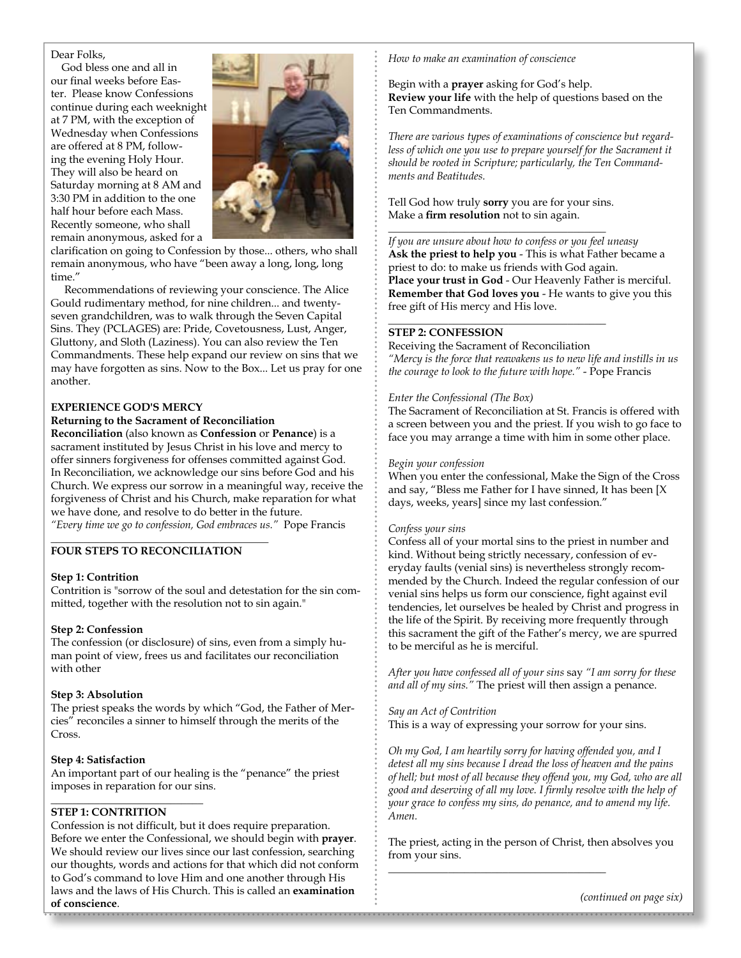#### Dear Folks,

God bless one and all in our final weeks before Easter. Please know Confessions continue during each weeknight at 7 PM, with the exception of Wednesday when Confessions are offered at 8 PM, following the evening Holy Hour. They will also be heard on Saturday morning at 8 AM and 3:30 PM in addition to the one half hour before each Mass. Recently someone, who shall remain anonymous, asked for a



clarification on going to Confession by those... others, who shall remain anonymous, who have "been away a long, long, long time."

Recommendations of reviewing your conscience. The Alice Gould rudimentary method, for nine children... and twentyseven grandchildren, was to walk through the Seven Capital Sins. They (PCLAGES) are: Pride, Covetousness, Lust, Anger, Gluttony, and Sloth (Laziness). You can also review the Ten Commandments. These help expand our review on sins that we may have forgotten as sins. Now to the Box... Let us pray for one another.

#### **EXPERIENCE GOD'S MERCY**

#### **Returning to the Sacrament of Reconciliation**

**Reconciliation** (also known as **Confession** or **Penance**) is a sacrament instituted by Jesus Christ in his love and mercy to offer sinners forgiveness for offenses committed against God. In Reconciliation, we acknowledge our sins before God and his Church. We express our sorrow in a meaningful way, receive the forgiveness of Christ and his Church, make reparation for what we have done, and resolve to do better in the future. *"Every time we go to confession, God embraces us."* Pope Francis

#### $\frac{1}{2}$  , and the set of the set of the set of the set of the set of the set of the set of the set of the set of the set of the set of the set of the set of the set of the set of the set of the set of the set of the set **FOUR STEPS TO RECONCILIATION**

#### **Step 1: Contrition**

Contrition is "sorrow of the soul and detestation for the sin committed, together with the resolution not to sin again."

#### **Step 2: Confession**

The confession (or disclosure) of sins, even from a simply human point of view, frees us and facilitates our reconciliation with other

#### **Step 3: Absolution**

The priest speaks the words by which "God, the Father of Mercies" reconciles a sinner to himself through the merits of the Cross.

#### **Step 4: Satisfaction**

An important part of our healing is the "penance" the priest imposes in reparation for our sins.

#### **STEP 1: CONTRITION**

 $\frac{1}{2}$  , and the set of the set of the set of the set of the set of the set of the set of the set of the set of the set of the set of the set of the set of the set of the set of the set of the set of the set of the set

Confession is not difficult, but it does require preparation. Before we enter the Confessional, we should begin with **prayer**. We should review our lives since our last confession, searching our thoughts, words and actions for that which did not conform to God's command to love Him and one another through His laws and the laws of His Church. This is called an **examination of conscience**.

*How to make an examination of conscience*

Begin with a **prayer** asking for God's help. **Review your life** with the help of questions based on the Ten Commandments.

*There are various types of examinations of conscience but regard*less of which one you use to prepare yourself for the Sacrament it *should be rooted in Scripture; particularly, the Ten Commandments and Beatitudes.*

Tell God how truly **sorry** you are for your sins. Make a **firm resolution** not to sin again. \_\_\_\_\_\_\_\_\_\_\_\_\_\_\_\_\_\_\_\_\_\_\_\_\_\_\_\_\_\_\_\_\_\_\_\_\_\_\_\_

\_\_\_\_\_\_\_\_\_\_\_\_\_\_\_\_\_\_\_\_\_\_\_\_\_\_\_\_\_\_\_\_\_\_\_\_\_\_\_\_

*If you are unsure about how to confess or you feel uneasy* **Ask the priest to help you** - This is what Father became a priest to do: to make us friends with God again. **Place your trust in God** - Our Heavenly Father is merciful. **Remember that God loves you** - He wants to give you this free gift of His mercy and His love.

#### **STEP 2: CONFESSION**

Receiving the Sacrament of Reconciliation *"Mercy is the force that reawakens us to new life and instills in us the courage to look to the future with hope."* - Pope Francis

#### *Enter the Confessional (The Box)*

The Sacrament of Reconciliation at St. Francis is offered with a screen between you and the priest. If you wish to go face to face you may arrange a time with him in some other place.

#### *Begin your confession*

When you enter the confessional, Make the Sign of the Cross and say, "Bless me Father for I have sinned, It has been [X days, weeks, years] since my last confession."

#### *Confess your sins*

Confess all of your mortal sins to the priest in number and kind. Without being strictly necessary, confession of everyday faults (venial sins) is nevertheless strongly recommended by the Church. Indeed the regular confession of our venial sins helps us form our conscience, fight against evil tendencies, let ourselves be healed by Christ and progress in the life of the Spirit. By receiving more frequently through this sacrament the gift of the Father's mercy, we are spurred to be merciful as he is merciful.

*After you have confessed all of your sins* say *"I am sorry for these and all of my sins."* The priest will then assign a penance.

#### *Say an Act of Contrition*

This is a way of expressing your sorrow for your sins.

*Oh my God, I am heartily sorry for having offended you, and I detest all my sins because I dread the loss of heaven and the pains of hell; but most of all because they offend you, my God, who are all good and deserving of all my love. I firmly resolve with the help of your grace to confess my sins, do penance, and to amend my life. Amen.*

The priest, acting in the person of Christ, then absolves you from your sins.

\_\_\_\_\_\_\_\_\_\_\_\_\_\_\_\_\_\_\_\_\_\_\_\_\_\_\_\_\_\_\_\_\_\_\_\_\_\_\_\_

*(continued on page six)*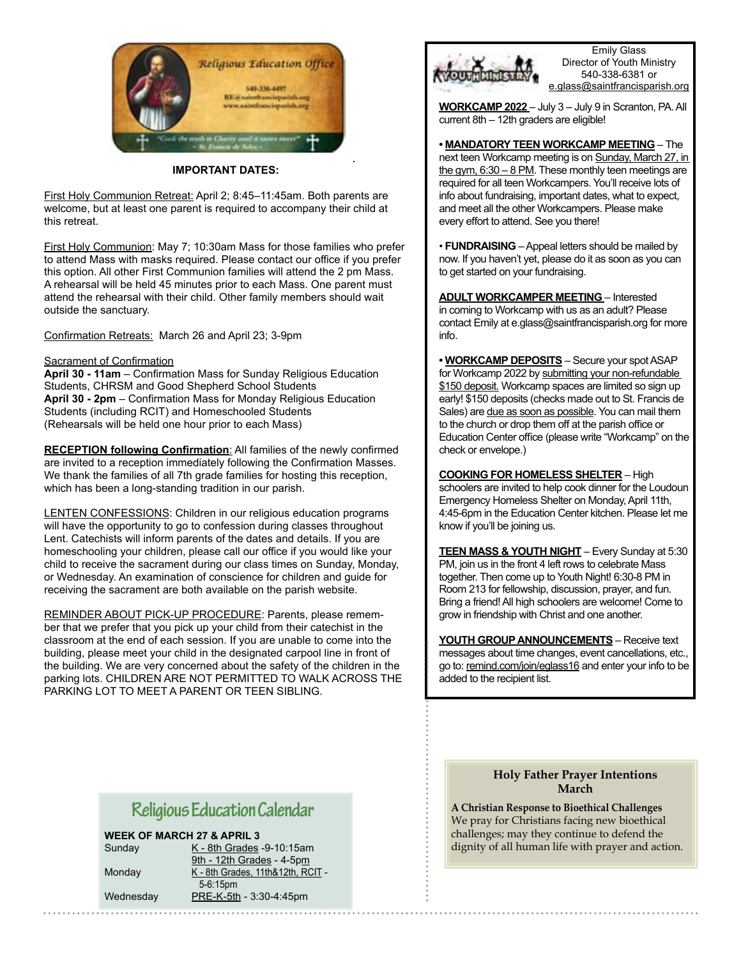

**IMPORTANT DATES:** 

First Holy Communion Retreat: April 2; 8:45–11:45am. Both parents are welcome, but at least one parent is required to accompany their child at this retreat.

First Holy Communion: May 7; 10:30am Mass for those families who prefer to attend Mass with masks required. Please contact our office if you prefer this option. All other First Communion families will attend the 2 pm Mass. A rehearsal will be held 45 minutes prior to each Mass. One parent must attend the rehearsal with their child. Other family members should wait outside the sanctuary.

Confirmation Retreats: March 26 and April 23; 3-9pm

#### Sacrament of Confirmation

**April 30 - 11am** – Confirmation Mass for Sunday Religious Education Students, CHRSM and Good Shepherd School Students **April 30 - 2pm** – Confirmation Mass for Monday Religious Education Students (including RCIT) and Homeschooled Students (Rehearsals will be held one hour prior to each Mass)

**RECEPTION following Confirmation**: All families of the newly confirmed are invited to a reception immediately following the Confirmation Masses. We thank the families of all 7th grade families for hosting this reception, which has been a long-standing tradition in our parish.

LENTEN CONFESSIONS: Children in our religious education programs will have the opportunity to go to confession during classes throughout Lent. Catechists will inform parents of the dates and details. If you are homeschooling your children, please call our office if you would like your child to receive the sacrament during our class times on Sunday, Monday, or Wednesday. An examination of conscience for children and guide for receiving the sacrament are both available on the parish website.

REMINDER ABOUT PICK-UP PROCEDURE: Parents, please remember that we prefer that you pick up your child from their catechist in the classroom at the end of each session. If you are unable to come into the building, please meet your child in the designated carpool line in front of the building. We are very concerned about the safety of the children in the parking lots. CHILDREN ARE NOT PERMITTED TO WALK ACROSS THE PARKING LOT TO MEET A PARENT OR TEEN SIBLING.



Emily Glass Director of Youth Ministry 540-338-6381 or e.glass@saintfrancisparish.org

**WORKCAMP 2022** – July 3 – July 9 in Scranton, PA. All current 8th – 12th graders are eligible!

**• MANDATORY TEEN WORKCAMP MEETING** – The next teen Workcamp meeting is on Sunday, March 27, in the gym,  $6:30 - 8$  PM. These monthly teen meetings are required for all teen Workcampers. You'll receive lots of info about fundraising, important dates, what to expect, and meet all the other Workcampers. Please make every effort to attend. See you there!

• **FUNDRAISING** – Appeal letters should be mailed by now. If you haven't yet, please do it as soon as you can to get started on your fundraising.

**ADULT WORKCAMPER MEETING** – Interested in coming to Workcamp with us as an adult? Please contact Emily at e.glass@saintfrancisparish.org for more info.

**• WORKCAMP DEPOSITS** – Secure your spot ASAP for Workcamp 2022 by submitting your non-refundable \$150 deposit. Workcamp spaces are limited so sign up early! \$150 deposits (checks made out to St. Francis de Sales) are due as soon as possible. You can mail them to the church or drop them off at the parish office or Education Center office (please write "Workcamp" on the check or envelope.)

#### **COOKING FOR HOMELESS SHELTER** – High

schoolers are invited to help cook dinner for the Loudoun Emergency Homeless Shelter on Monday, April 11th, 4:45-6pm in the Education Center kitchen. Please let me know if you'll be joining us.

**TEEN MASS & YOUTH NIGHT** – Every Sunday at 5:30 PM, join us in the front 4 left rows to celebrate Mass together. Then come up to Youth Night! 6:30-8 PM in Room 213 for fellowship, discussion, prayer, and fun. Bring a friend! All high schoolers are welcome! Come to grow in friendship with Christ and one another.

**YOUTH GROUP ANNOUNCEMENTS** – Receive text messages about time changes, event cancellations, etc., go to: remind.com/join/eglass16 and enter your info to be added to the recipient list.

# **Religious Education Calendar**

**WEEK OF MARCH 27 & APRIL 3**

Sunday K - 8th Grades -9-10:15am 9th - 12th Grades - 4-5pm Monday K - 8th Grades, 11th&12th, RCIT - 5-6:15pm Wednesday PRE-K-5th - 3:30-4:45pm

**Holy Father Prayer Intentions March**

**A Christian Response to Bioethical Challenges** We pray for Christians facing new bioethical challenges; may they continue to defend the dignity of all human life with prayer and action.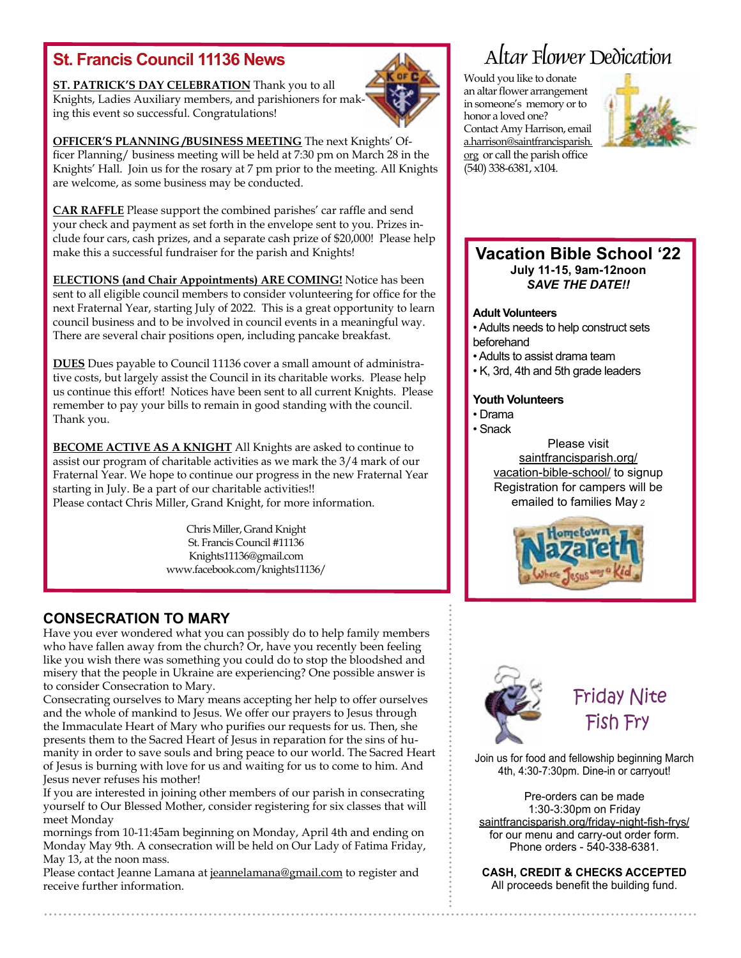**ST. PATRICK'S DAY CELEBRATION** Thank you to all Knights, Ladies Auxiliary members, and parishioners for making this event so successful. Congratulations!



**OFFICER'S PLANNING /BUSINESS MEETING** The next Knights' Officer Planning/ business meeting will be held at 7:30 pm on March 28 in the Knights' Hall. Join us for the rosary at 7 pm prior to the meeting. All Knights are welcome, as some business may be conducted.

**CAR RAFFLE** Please support the combined parishes' car raffle and send your check and payment as set forth in the envelope sent to you. Prizes include four cars, cash prizes, and a separate cash prize of \$20,000! Please help make this a successful fundraiser for the parish and Knights!

**ELECTIONS (and Chair Appointments) ARE COMING!** Notice has been sent to all eligible council members to consider volunteering for office for the next Fraternal Year, starting July of 2022. This is a great opportunity to learn council business and to be involved in council events in a meaningful way. There are several chair positions open, including pancake breakfast.

**DUES** Dues payable to Council 11136 cover a small amount of administrative costs, but largely assist the Council in its charitable works. Please help us continue this effort! Notices have been sent to all current Knights. Please remember to pay your bills to remain in good standing with the council. Thank you.

**BECOME ACTIVE AS A KNIGHT** All Knights are asked to continue to assist our program of charitable activities as we mark the 3/4 mark of our Fraternal Year. We hope to continue our progress in the new Fraternal Year starting in July. Be a part of our charitable activities!! Please contact Chris Miller, Grand Knight, for more information.

> Chris Miller, Grand Knight St. Francis Council #11136 Knights11136@gmail.com www.facebook.com/knights11136/

### **CONSECRATION TO MARY**

Have you ever wondered what you can possibly do to help family members who have fallen away from the church? Or, have you recently been feeling like you wish there was something you could do to stop the bloodshed and misery that the people in Ukraine are experiencing? One possible answer is to consider Consecration to Mary.

Consecrating ourselves to Mary means accepting her help to offer ourselves and the whole of mankind to Jesus. We offer our prayers to Jesus through the Immaculate Heart of Mary who purifies our requests for us. Then, she presents them to the Sacred Heart of Jesus in reparation for the sins of humanity in order to save souls and bring peace to our world. The Sacred Heart of Jesus is burning with love for us and waiting for us to come to him. And Jesus never refuses his mother!

If you are interested in joining other members of our parish in consecrating yourself to Our Blessed Mother, consider registering for six classes that will meet Monday

mornings from 10-11:45am beginning on Monday, April 4th and ending on Monday May 9th. A consecration will be held on Our Lady of Fatima Friday, May 13, at the noon mass.

Please contact Jeanne Lamana at jeannelamana@gmail.com to register and receive further information.

# **St. Francis Council 11136 News** Altar Flower Dedication

Would you like to donate an altar flower arrangement in someone's memory or to honor a loved one? Contact Amy Harrison, email a.harrison@saintfrancisparish. org or call the parish office (540) 338-6381, x104.



### **Vacation Bible School '22 July 11-15, 9am-12noon** *SAVE THE DATE!!*

#### **Adult Volunteers**

• Adults needs to help construct sets beforehand

- Adults to assist drama team
- K, 3rd, 4th and 5th grade leaders

### **Youth Volunteers**

• Drama

• Snack Please visit saintfrancisparish.org/ vacation-bible-school/ to signup Registration for campers will be emailed to families May 2





 Friday Nite Fish Fry

Join us for food and fellowship beginning March 4th, 4:30-7:30pm. Dine-in or carryout!

Pre-orders can be made 1:30-3:30pm on Friday saintfrancisparish.org/friday-night-fish-frys/ for our menu and carry-out order form. Phone orders - 540-338-6381.

**CASH, CREDIT & CHECKS ACCEPTED**  All proceeds benefit the building fund.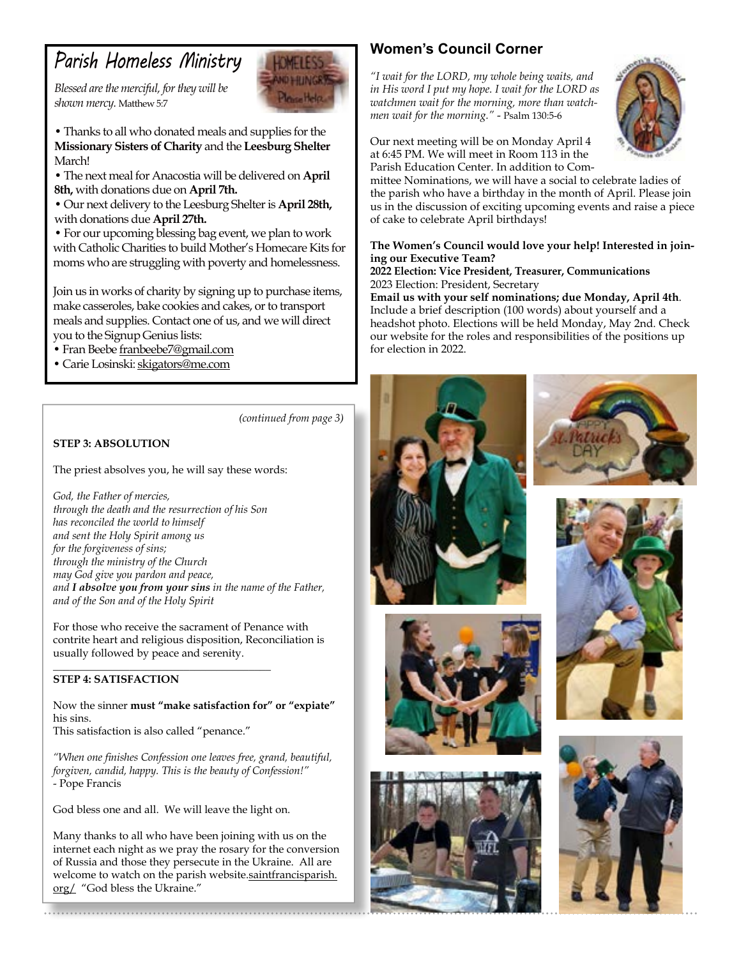# *Parish Homeless Ministry*

*Blessed are the merciful, for they will be shown mercy.* Matthew 5:7



• Thanks to all who donated meals and supplies for the **Missionary Sisters of Charity** and the **Leesburg Shelter**  March!

• The next meal for Anacostia will be delivered on **April 8th,** with donations due on **April 7th.**

• Our next delivery to the Leesburg Shelter is **April 28th,**  with donations due **April 27th.**

• For our upcoming blessing bag event, we plan to work with Catholic Charities to build Mother's Homecare Kits for moms who are struggling with poverty and homelessness.

Join us in works of charity by signing up to purchase items, make casseroles, bake cookies and cakes, or to transport meals and supplies. Contact one of us, and we will direct you to the Signup Genius lists:

• Fran Beebe franbeebe7@gmail.com

• Carie Losinski: skigators@me.com

*(continued from page 3)*

### **STEP 3: ABSOLUTION**

The priest absolves you, he will say these words:

*God, the Father of mercies, through the death and the resurrection of his Son has reconciled the world to himself and sent the Holy Spirit among us for the forgiveness of sins; through the ministry of the Church may God give you pardon and peace, and I absolve you from your sins in the name of the Father, and of the Son and of the Holy Spirit*

For those who receive the sacrament of Penance with contrite heart and religious disposition, Reconciliation is usually followed by peace and serenity.

 $\frac{1}{2}$  , and the set of the set of the set of the set of the set of the set of the set of the set of the set of the set of the set of the set of the set of the set of the set of the set of the set of the set of the set

### **STEP 4: SATISFACTION**

Now the sinner **must "make satisfaction for" or "expiate"**  his sins. This satisfaction is also called "penance."

*"When one finishes Confession one leaves free, grand, beautiful, forgiven, candid, happy. This is the beauty of Confession!"* - Pope Francis

God bless one and all. We will leave the light on.

Many thanks to all who have been joining with us on the internet each night as we pray the rosary for the conversion of Russia and those they persecute in the Ukraine. All are welcome to watch on the parish website.saintfrancisparish. org/ "God bless the Ukraine."

# **Women's Council Corner**

*"I wait for the LORD, my whole being waits, and in His word I put my hope. I wait for the LORD as watchmen wait for the morning, more than watchmen wait for the morning."* - Psalm 130:5-6



Our next meeting will be on Monday April 4 at 6:45 PM. We will meet in Room 113 in the Parish Education Center. In addition to Com-

mittee Nominations, we will have a social to celebrate ladies of the parish who have a birthday in the month of April. Please join us in the discussion of exciting upcoming events and raise a piece of cake to celebrate April birthdays!

### **The Women's Council would love your help! Interested in joining our Executive Team?**

**2022 Election: Vice President, Treasurer, Communications** 2023 Election: President, Secretary

**Email us with your self nominations; due Monday, April 4th**. Include a brief description (100 words) about yourself and a headshot photo. Elections will be held Monday, May 2nd. Check our website for the roles and responsibilities of the positions up for election in 2022.











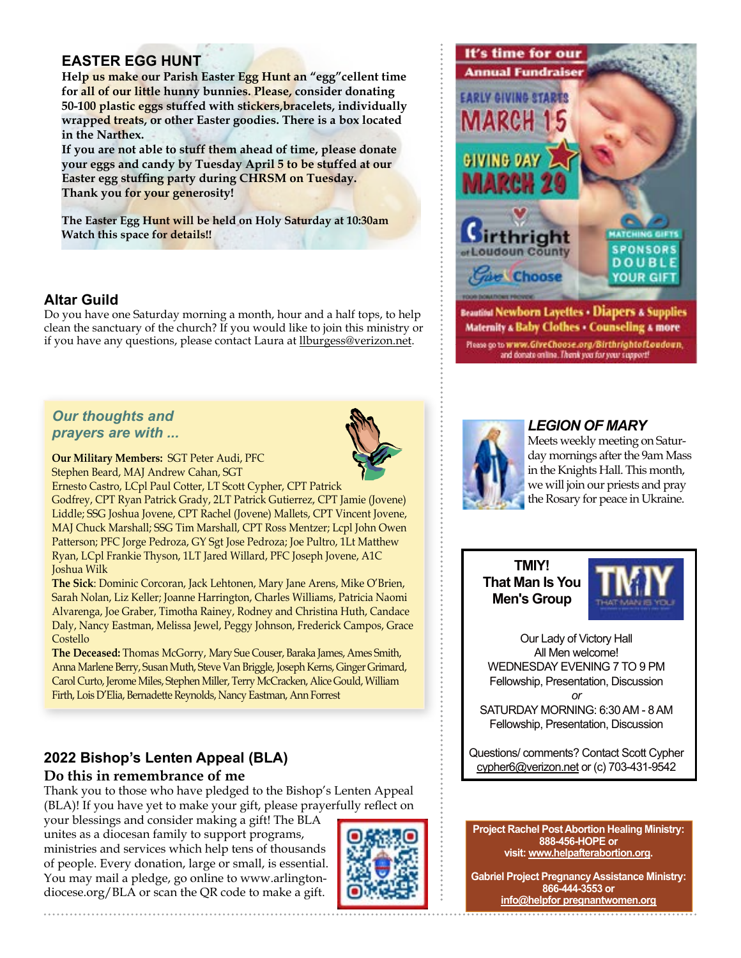## **EASTER EGG HUNT**

**Help us make our Parish Easter Egg Hunt an "egg"cellent time for all of our little hunny bunnies. Please, consider donating 50-100 plastic eggs stuffed with stickers,bracelets, individually wrapped treats, or other Easter goodies. There is a box located in the Narthex.**

**If you are not able to stuff them ahead of time, please donate your eggs and candy by Tuesday April 5 to be stuffed at our Easter egg stuffing party during CHRSM on Tuesday. Thank you for your generosity!**

**The Easter Egg Hunt will be held on Holy Saturday at 10:30am Watch this space for details!!**

### **Altar Guild**

Do you have one Saturday morning a month, hour and a half tops, to help clean the sanctuary of the church? If you would like to join this ministry or if you have any questions, please contact Laura at llburgess@verizon.net.



**Our Military Members:** SGT Peter Audi, PFC Stephen Beard, MAJ Andrew Cahan, SGT

Ernesto Castro, LCpl Paul Cotter, LT Scott Cypher, CPT Patrick

Godfrey, CPT Ryan Patrick Grady, 2LT Patrick Gutierrez, CPT Jamie (Jovene) Liddle; SSG Joshua Jovene, CPT Rachel (Jovene) Mallets, CPT Vincent Jovene, MAJ Chuck Marshall; SSG Tim Marshall, CPT Ross Mentzer; Lcpl John Owen Patterson; PFC Jorge Pedroza, GY Sgt Jose Pedroza; Joe Pultro, 1Lt Matthew Ryan, LCpl Frankie Thyson, 1LT Jared Willard, PFC Joseph Jovene, A1C Joshua Wilk

**The Sick**: Dominic Corcoran, Jack Lehtonen, Mary Jane Arens, Mike O'Brien, Sarah Nolan, Liz Keller; Joanne Harrington, Charles Williams, Patricia Naomi Alvarenga, Joe Graber, Timotha Rainey, Rodney and Christina Huth, Candace Daly, Nancy Eastman, Melissa Jewel, Peggy Johnson, Frederick Campos, Grace Costello

**The Deceased:** Thomas McGorry, Mary Sue Couser, Baraka James, Ames Smith, Anna Marlene Berry, Susan Muth, Steve Van Briggle, Joseph Kerns, Ginger Grimard, Carol Curto, Jerome Miles, Stephen Miller, Terry McCracken, Alice Gould, William Firth, Lois D'Elia, Bernadette Reynolds, Nancy Eastman, Ann Forrest

# **2022 Bishop's Lenten Appeal (BLA)**

**Do this in remembrance of me**

Thank you to those who have pledged to the Bishop's Lenten Appeal (BLA)! If you have yet to make your gift, please prayerfully reflect on

your blessings and consider making a gift! The BLA unites as a diocesan family to support programs, ministries and services which help tens of thousands of people. Every donation, large or small, is essential. You may mail a pledge, go online to www.arlingtondiocese.org/BLA or scan the QR code to make a gift.





Please go to www.GiveChoose.org/BirthrightofLoadoun,<br>and donate online. Thenk you for your support!



### *LEGION OF MARY*

Meets weekly meeting on Saturday mornings after the 9am Mass in the Knights Hall. This month, we will join our priests and pray the Rosary for peace in Ukraine.

**TMIY! That Man Is You Men's Group**



Our Lady of Victory Hall All Men welcome! WEDNESDAY EVENING 7 TO 9 PM Fellowship, Presentation, Discussion *or*

SATURDAY MORNING: 6:30 AM - 8 AM Fellowship, Presentation, Discussion

Questions/ comments? Contact Scott Cypher cypher6@verizon.net or (c) 703-431-9542

#### **Project Rachel Post Abortion Healing Ministry: 888-456-HOPE or visit: www.helpafterabortion.org.**

**Gabriel Project Pregnancy Assistance Ministry: 866-444-3553 or info@helpfor pregnantwomen.org**